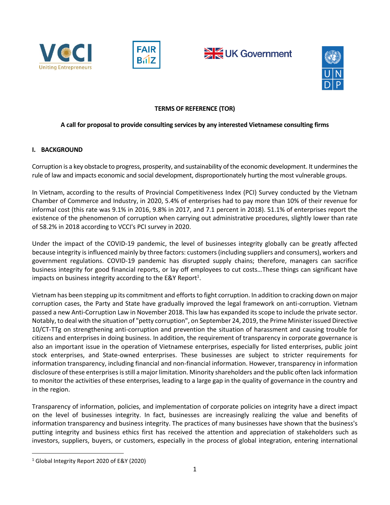







### **TERMS OF REFERENCE (TOR)**

### **A call for proposal to provide consulting services by any interested Vietnamese consulting firms**

### **I. BACKGROUND**

Corruption is a key obstacle to progress, prosperity, and sustainability of the economic development. It undermines the rule of law and impacts economic and social development, disproportionately hurting the most vulnerable groups.

In Vietnam, according to the results of Provincial Competitiveness Index (PCI) Survey conducted by the Vietnam Chamber of Commerce and Industry, in 2020, 5.4% of enterprises had to pay more than 10% of their revenue for informal cost (this rate was 9.1% in 2016, 9.8% in 2017, and 7.1 percent in 2018). 51.1% of enterprises report the existence of the phenomenon of corruption when carrying out administrative procedures, slightly lower than rate of 58.2% in 2018 according to VCCI's PCI survey in 2020.

Under the impact of the COVID-19 pandemic, the level of businesses integrity globally can be greatly affected because integrity is influenced mainly by three factors: customers (including suppliers and consumers), workers and government regulations. COVID-19 pandemic has disrupted supply chains; therefore, managers can sacrifice business integrity for good financial reports, or lay off employees to cut costs…These things can significant have impacts on business integrity according to the E&Y Report<sup>1</sup>.

Vietnam has been stepping up its commitment and efforts to fight corruption. In addition to cracking down on major corruption cases, the Party and State have gradually improved the legal framework on anti-corruption. Vietnam passed a new Anti-Corruption Law in November 2018. This law has expanded its scope to include the private sector. Notably, to deal with the situation of "petty corruption", on September 24, 2019, the Prime Minister issued Directive 10/CT-TTg on strengthening anti-corruption and prevention the situation of harassment and causing trouble for citizens and enterprises in doing business. In addition, the requirement of transparency in corporate governance is also an important issue in the operation of Vietnamese enterprises, especially for listed enterprises, public joint stock enterprises, and State-owned enterprises. These businesses are subject to stricter requirements for information transparency, including financial and non-financial information. However, transparency in information disclosure of these enterprises is still a major limitation. Minority shareholders and the public often lack information to monitor the activities of these enterprises, leading to a large gap in the quality of governance in the country and in the region.

Transparency of information, policies, and implementation of corporate policies on integrity have a direct impact on the level of businesses integrity. In fact, businesses are increasingly realizing the value and benefits of information transparency and business integrity. The practices of many businesses have shown that the business's putting integrity and business ethics first has received the attention and appreciation of stakeholders such as investors, suppliers, buyers, or customers, especially in the process of global integration, entering international

 $\overline{a}$ 

<sup>1</sup> Global Integrity Report 2020 of E&Y (2020)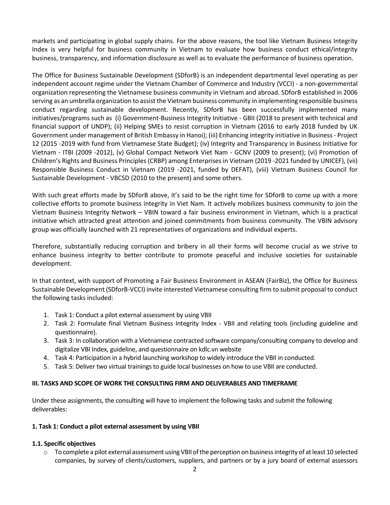markets and participating in global supply chains. For the above reasons, the tool like Vietnam Business Integrity Index is very helpful for business community in Vietnam to evaluate how business conduct ethical/integrity business, transparency, and information disclosure as well as to evaluate the performance of business operation.

The Office for Business Sustainable Development (SDforB) is an independent departmental level operating as per independent account regime under the Vietnam Chamber of Commerce and Industry (VCCI) - a non-governmental organization representing the Vietnamese business community in Vietnam and abroad. SDforB established in 2006 serving as an umbrella organization to assist the Vietnam business community in implementing responsible business conduct regarding sustainable development. Recently, SDforB has been successfully implemented many initiatives/programs such as (i) Government-Business Integrity Initiative - GBII (2018 to present with technical and financial support of UNDP); (ii) Helping SMEs to resist corruption in Vietnam (2016 to early 2018 funded by UK Government under management of British Embassy in Hanoi); (iii) Enhancing integrity initiative in Business - Project 12 (2015 -2019 with fund from Vietnamese State Budget); (iv) Integrity and Transparency in Business Initiative for Vietnam - ITBI (2009 -2012), (v) Global Compact Network Viet Nam - GCNV (2009 to present); (vi) Promotion of Children's Rights and Business Principles (CRBP) among Enterprises in Vietnam (2019 -2021 funded by UNICEF), (vii) Responsible Business Conduct in Vietnam (2019 -2021, funded by DEFAT), (viii) Vietnam Business Council for Sustainable Development - VBCSD (2010 to the present) and some others.

With such great efforts made by SDforB above, it's said to be the right time for SDforB to come up with a more collective efforts to promote business integrity in Viet Nam. It actively mobilizes business community to join the Vietnam Business Integrity Network – VBIN toward a fair business environment in Vietnam, which is a practical initiative which attracted great attention and joined commitments from business community. The VBIN advisory group was officially launched with 21 representatives of organizations and individual experts.

Therefore, substantially reducing corruption and bribery in all their forms will become crucial as we strive to enhance business integrity to better contribute to promote peaceful and inclusive societies for sustainable development.

In that context, with support of Promoting a Fair Business Environment in ASEAN (FairBiz), the Office for Business Sustainable Development (SDforB-VCCI) invite interested Vietnamese consulting firm to submit proposal to conduct the following tasks included:

- 1. Task 1: Conduct a pilot external assessment by using VBII
- 2. Task 2: Formulate final Vietnam Business Integrity Index VBII and relating tools (including guideline and questionnaire).
- 3. Task 3: In collaboration with a Vietnamese contracted software company/consulting company to develop and digitalize VBI Index, guideline, and questionnaire on kdlc.vn website
- 4. Task 4: Participation in a hybrid launching workshop to widely introduce the VBII in conducted.
- 5. Task 5: Deliver two virtual trainings to guide local businesses on how to use VBII are conducted.

### **III. TASKS AND SCOPE OF WORK THE CONSULTING FIRM AND DELIVERABLES AND TIMEFRAME**

Under these assignments, the consulting will have to implement the following tasks and submit the following deliverables:

### **1. Task 1: Conduct a pilot external assessment by using VBII**

### **1.1. Specific objectives**

o To complete a pilot external assessment using VBII ofthe perception on business integrity of at least 10 selected companies, by survey of clients/customers, suppliers, and partners or by a jury board of external assessors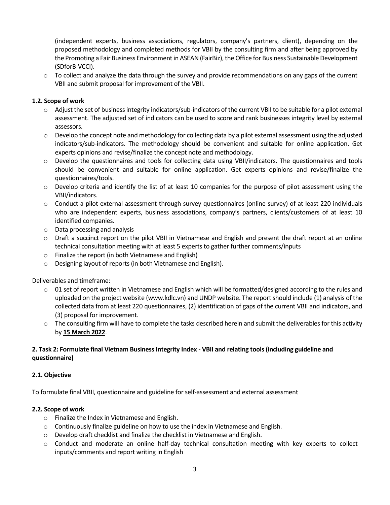(independent experts, business associations, regulators, company's partners, client), depending on the proposed methodology and completed methods for VBII by the consulting firm and after being approved by the Promoting a Fair Business Environment in ASEAN (FairBiz), the Office for Business Sustainable Development (SDforB-VCCI).

 $\circ$  To collect and analyze the data through the survey and provide recommendations on any gaps of the current VBII and submit proposal for improvement of the VBII.

### **1.2. Scope of work**

- o Adjust the set of business integrity indicators/sub-indicators of the current VBII to be suitable for a pilot external assessment. The adjusted set of indicators can be used to score and rank businesses integrity level by external assessors.
- $\circ$  Develop the concept note and methodology for collecting data by a pilot external assessment using the adjusted indicators/sub-indicators. The methodology should be convenient and suitable for online application. Get experts opinions and revise/finalize the concept note and methodology.
- o Develop the questionnaires and tools for collecting data using VBII/indicators. The questionnaires and tools should be convenient and suitable for online application. Get experts opinions and revise/finalize the questionnaires/tools.
- $\circ$  Develop criteria and identify the list of at least 10 companies for the purpose of pilot assessment using the VBII/indicators.
- o Conduct a pilot external assessment through survey questionnaires (online survey) of at least 220 individuals who are independent experts, business associations, company's partners, clients/customers of at least 10 identified companies.
- o Data processing and analysis
- o Draft a succinct report on the pilot VBII in Vietnamese and English and present the draft report at an online technical consultation meeting with at least 5 experts to gather further comments/inputs
- o Finalize the report (in both Vietnamese and English)
- o Designing layout of reports (in both Vietnamese and English).

Deliverables and timeframe:

- $\circ$  01 set of report written in Vietnamese and English which will be formatted/designed according to the rules and uploaded on the project website (www.kdlc.vn) and UNDP website. The report should include (1) analysis of the collected data from at least 220 questionnaires, (2) identification of gaps of the current VBII and indicators, and (3) proposal for improvement.
- $\circ$  The consulting firm will have to complete the tasks described herein and submit the deliverables for this activity by **15 March 2022**.

# **2. Task 2: Formulate final Vietnam Business Integrity Index - VBII and relating tools (including guideline and questionnaire)**

### **2.1. Objective**

To formulate final VBII, questionnaire and guideline for self-assessment and external assessment

### **2.2. Scope of work**

- o Finalize the Index in Vietnamese and English.
- o Continuously finalize guideline on how to use the index in Vietnamese and English.
- o Develop draft checklist and finalize the checklist in Vietnamese and English.
- o Conduct and moderate an online half-day technical consultation meeting with key experts to collect inputs/comments and report writing in English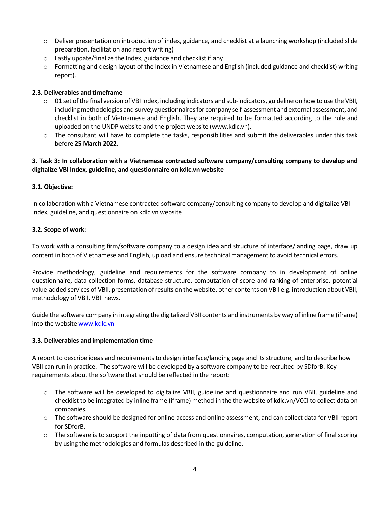- o Deliver presentation on introduction of index, guidance, and checklist at a launching workshop (included slide preparation, facilitation and report writing)
- o Lastly update/finalize the Index, guidance and checklist if any
- o Formatting and design layout of the Index in Vietnamese and English (included guidance and checklist) writing report).

# **2.3. Deliverables and timeframe**

- $\circ$  01 set of the final version of VBI Index, including indicators and sub-indicators, guideline on how to use the VBII, including methodologies and survey questionnaires for company self-assessment and external assessment, and checklist in both of Vietnamese and English. They are required to be formatted according to the rule and uploaded on the UNDP website and the project website [\(www.kdlc.vn\)](http://www.kdlc.vn/).
- o The consultant will have to complete the tasks, responsibilities and submit the deliverables under this task before **25 March 2022**.

# **3. Task 3: In collaboration with a Vietnamese contracted software company/consulting company to develop and digitalize VBI Index, guideline, and questionnaire on kdlc.vn website**

# **3.1. Objective:**

In collaboration with a Vietnamese contracted software company/consulting company to develop and digitalize VBI Index, guideline, and questionnaire on kdlc.vn website

# **3.2. Scope of work:**

To work with a consulting firm/software company to a design idea and structure of interface/landing page, draw up content in both of Vietnamese and English, upload and ensure technical management to avoid technical errors.

Provide methodology, guideline and requirements for the software company to in development of online questionnaire, data collection forms, database structure, computation of score and ranking of enterprise, potential value-added services of VBII, presentation of results on the website, other contents on VBII e.g. introduction about VBII, methodology of VBII, VBII news.

Guide the software company in integrating the digitalized VBII contents and instruments by way of inline frame (iframe) into the websit[e www.kdlc.vn](http://www.kdlc.vn/)

# **3.3. Deliverables and implementation time**

A report to describe ideas and requirements to design interface/landing page and its structure, and to describe how VBII can run in practice. The software will be developed by a software company to be recruited by SDforB. Key requirements about the software that should be reflected in the report:

- o The software will be developed to digitalize VBII, guideline and questionnaire and run VBII, guideline and checklist to be integrated by inline frame (iframe) method in the the website of kdlc.vn/VCCI to collect data on companies.
- o The software should be designed for online access and online assessment, and can collect data for VBII report for SDforB.
- o The software is to support the inputting of data from questionnaires, computation, generation of final scoring by using the methodologies and formulas described in the guideline.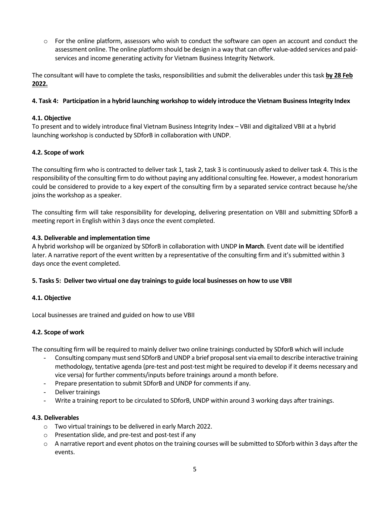o For the online platform, assessors who wish to conduct the software can open an account and conduct the assessment online. The online platform should be design in a way that can offer value-added services and paidservices and income generating activity for Vietnam Business Integrity Network.

The consultant will have to complete the tasks, responsibilities and submit the deliverables under this task **by 28 Feb 2022.**

### **4. Task 4: Participation in a hybrid launching workshop to widely introduce the Vietnam Business Integrity Index**

### **4.1. Objective**

To present and to widely introduce final Vietnam Business Integrity Index – VBII and digitalized VBII at a hybrid launching workshop is conducted by SDforB in collaboration with UNDP.

### **4.2. Scope of work**

The consulting firm who is contracted to deliver task 1, task 2, task 3 is continuously asked to deliver task 4. This is the responsibility of the consulting firm to do without paying any additional consulting fee. However, a modest honorarium could be considered to provide to a key expert of the consulting firm by a separated service contract because he/she joins the workshop as a speaker.

The consulting firm will take responsibility for developing, delivering presentation on VBII and submitting SDforB a meeting report in English within 3 days once the event completed.

### **4.3. Deliverable and implementation time**

A hybrid workshop will be organized by SDforB in collaboration with UNDP **in March**. Event date will be identified later. A narrative report of the event written by a representative of the consulting firm and it's submitted within 3 days once the event completed.

### **5. Tasks 5: Deliver two virtual one day trainings to guide local businesses on how to use VBII**

### **4.1. Objective**

Local businesses are trained and guided on how to use VBII

### **4.2. Scope of work**

The consulting firm will be required to mainly deliver two online trainings conducted by SDforB which will include

- Consulting company must send SDforB and UNDP a brief proposal sent via email to describe interactive training methodology, tentative agenda (pre-test and post-test might be required to develop if it deems necessary and vice versa) for further comments/inputs before trainings around a month before.
- Prepare presentation to submit SDforB and UNDP for comments if any.
- Deliver trainings
- Write a training report to be circulated to SDforB, UNDP within around 3 working days after trainings.

### **4.3. Deliverables**

- o Two virtual trainings to be delivered in early March 2022.
- o Presentation slide, and pre-test and post-test if any
- o A narrative report and event photos on the training courses will be submitted to SDforb within 3 days after the events.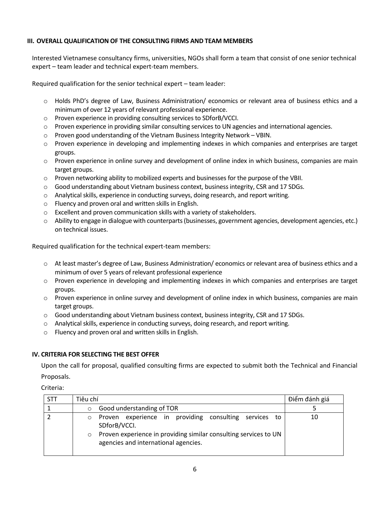### **III. OVERALL QUALIFICATION OF THE CONSULTING FIRMS AND TEAM MEMBERS**

Interested Vietnamese consultancy firms, universities, NGOs shall form a team that consist of one senior technical expert – team leader and technical expert-team members.

Required qualification for the senior technical expert – team leader:

- o Holds PhD's degree of Law, Business Administration/ economics or relevant area of business ethics and a minimum of over 12 years of relevant professional experience.
- o Proven experience in providing consulting services to SDforB/VCCI.
- o Proven experience in providing similar consulting services to UN agencies and international agencies.
- o Proven good understanding of the Vietnam Business Integrity Network VBIN.
- o Proven experience in developing and implementing indexes in which companies and enterprises are target groups.
- o Proven experience in online survey and development of online index in which business, companies are main target groups.
- o Proven networking ability to mobilized experts and businesses for the purpose of the VBII.
- o Good understanding about Vietnam business context, business integrity, CSR and 17 SDGs.
- o Analytical skills, experience in conducting surveys, doing research, and report writing.
- o Fluency and proven oral and written skills in English.
- o Excellent and proven communication skills with a variety of stakeholders.
- o Ability to engage in dialogue with counterparts (businesses, government agencies, development agencies, etc.) on technical issues.

Required qualification for the technical expert-team members:

- o At least master's degree of Law, Business Administration/ economics or relevant area of business ethics and a minimum of over 5 years of relevant professional experience
- o Proven experience in developing and implementing indexes in which companies and enterprises are target groups.
- o Proven experience in online survey and development of online index in which business, companies are main target groups.
- o Good understanding about Vietnam business context, business integrity, CSR and 17 SDGs.
- $\circ$  Analytical skills, experience in conducting surveys, doing research, and report writing.
- o Fluency and proven oral and written skills in English.

### **IV. CRITERIA FOR SELECTING THE BEST OFFER**

Upon the call for proposal, qualified consulting firms are expected to submit both the Technical and Financial Proposals.

Criteria:

| <b>STT</b> | Tiêu chí                                                                                                                                                                                     | Điểm đánh giá |
|------------|----------------------------------------------------------------------------------------------------------------------------------------------------------------------------------------------|---------------|
|            | Good understanding of TOR<br>$\circ$                                                                                                                                                         |               |
|            | Proven experience in providing consulting services to<br>SDforB/VCCI.<br>Proven experience in providing similar consulting services to UN<br>$\circ$<br>agencies and international agencies. | 10            |